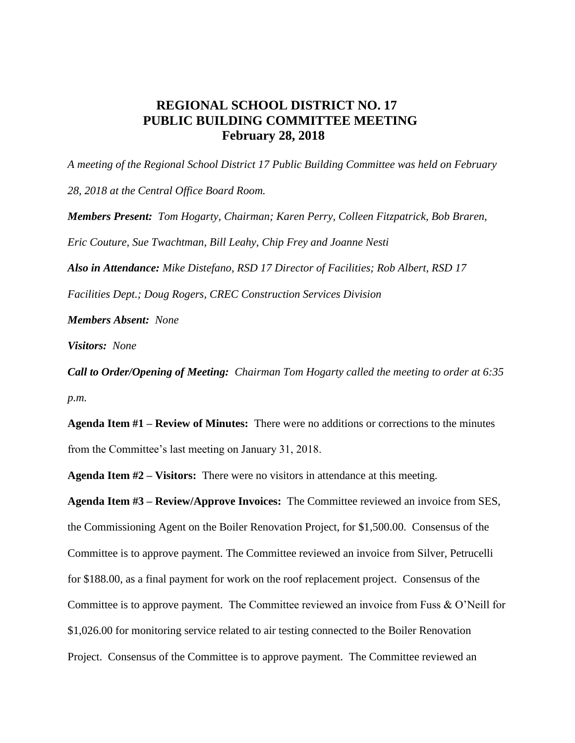## **REGIONAL SCHOOL DISTRICT NO. 17 PUBLIC BUILDING COMMITTEE MEETING February 28, 2018**

*A meeting of the Regional School District 17 Public Building Committee was held on February 28, 2018 at the Central Office Board Room. Members Present: Tom Hogarty, Chairman; Karen Perry, Colleen Fitzpatrick, Bob Braren, Eric Couture, Sue Twachtman, Bill Leahy, Chip Frey and Joanne Nesti Also in Attendance: Mike Distefano, RSD 17 Director of Facilities; Rob Albert, RSD 17 Facilities Dept.; Doug Rogers, CREC Construction Services Division*

*Members Absent: None* 

*Visitors: None*

*Call to Order/Opening of Meeting:**Chairman Tom Hogarty called the meeting to order at 6:35 p.m.*

**Agenda Item #1 – Review of Minutes:** There were no additions or corrections to the minutes from the Committee's last meeting on January 31, 2018.

**Agenda Item #2 – Visitors:** There were no visitors in attendance at this meeting.

**Agenda Item #3 – Review/Approve Invoices:** The Committee reviewed an invoice from SES, the Commissioning Agent on the Boiler Renovation Project, for \$1,500.00. Consensus of the Committee is to approve payment. The Committee reviewed an invoice from Silver, Petrucelli for \$188.00, as a final payment for work on the roof replacement project. Consensus of the Committee is to approve payment. The Committee reviewed an invoice from Fuss & O'Neill for \$1,026.00 for monitoring service related to air testing connected to the Boiler Renovation Project. Consensus of the Committee is to approve payment. The Committee reviewed an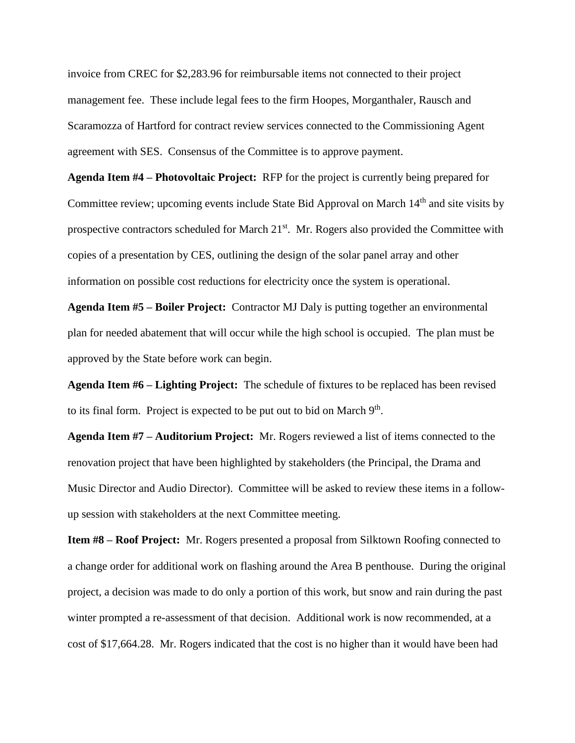invoice from CREC for \$2,283.96 for reimbursable items not connected to their project management fee. These include legal fees to the firm Hoopes, Morganthaler, Rausch and Scaramozza of Hartford for contract review services connected to the Commissioning Agent agreement with SES. Consensus of the Committee is to approve payment.

**Agenda Item #4 – Photovoltaic Project:** RFP for the project is currently being prepared for Committee review; upcoming events include State Bid Approval on March 14<sup>th</sup> and site visits by prospective contractors scheduled for March  $21<sup>st</sup>$ . Mr. Rogers also provided the Committee with copies of a presentation by CES, outlining the design of the solar panel array and other information on possible cost reductions for electricity once the system is operational.

**Agenda Item #5 – Boiler Project:** Contractor MJ Daly is putting together an environmental plan for needed abatement that will occur while the high school is occupied. The plan must be approved by the State before work can begin.

**Agenda Item #6 – Lighting Project:** The schedule of fixtures to be replaced has been revised to its final form. Project is expected to be put out to bid on March  $9<sup>th</sup>$ .

**Agenda Item #7 – Auditorium Project:** Mr. Rogers reviewed a list of items connected to the renovation project that have been highlighted by stakeholders (the Principal, the Drama and Music Director and Audio Director). Committee will be asked to review these items in a followup session with stakeholders at the next Committee meeting.

**Item #8 – Roof Project:** Mr. Rogers presented a proposal from Silktown Roofing connected to a change order for additional work on flashing around the Area B penthouse. During the original project, a decision was made to do only a portion of this work, but snow and rain during the past winter prompted a re-assessment of that decision. Additional work is now recommended, at a cost of \$17,664.28. Mr. Rogers indicated that the cost is no higher than it would have been had